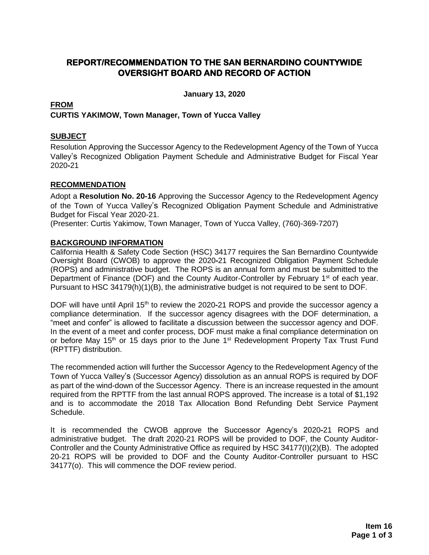### **REPORT/RECOMMENDATION TO THE SAN BERNARDINO COUNTYWIDE OVERSIGHT BOARD AND RECORD OF ACTION**

**January 13, 2020**

#### **FROM CURTIS YAKIMOW, Town Manager, Town of Yucca Valley**

#### **SUBJECT**

Resolution Approving the Successor Agency to the Redevelopment Agency of the Town of Yucca Valley's Recognized Obligation Payment Schedule and Administrative Budget for Fiscal Year 2020**-**21

#### **RECOMMENDATION**

Adopt a **Resolution No. 20-16** Approving the Successor Agency to the Redevelopment Agency of the Town of Yucca Valley's Recognized Obligation Payment Schedule and Administrative Budget for Fiscal Year 2020-21.

(Presenter: Curtis Yakimow, Town Manager, Town of Yucca Valley, (760)-369-7207)

#### **BACKGROUND INFORMATION**

California Health & Safety Code Section (HSC) 34177 requires the San Bernardino Countywide Oversight Board (CWOB) to approve the 2020**-**21 Recognized Obligation Payment Schedule (ROPS) and administrative budget. The ROPS is an annual form and must be submitted to the Department of Finance (DOF) and the County Auditor-Controller by February 1<sup>st</sup> of each year. Pursuant to HSC 34179(h)(1)(B), the administrative budget is not required to be sent to DOF.

DOF will have until April 15<sup>th</sup> to review the 2020-21 ROPS and provide the successor agency a compliance determination. If the successor agency disagrees with the DOF determination, a "meet and confer" is allowed to facilitate a discussion between the successor agency and DOF. In the event of a meet and confer process, DOF must make a final compliance determination on or before May 15<sup>th</sup> or 15 days prior to the June 1<sup>st</sup> Redevelopment Property Tax Trust Fund (RPTTF) distribution.

The recommended action will further the Successor Agency to the Redevelopment Agency of the Town of Yucca Valley's (Successor Agency) dissolution as an annual ROPS is required by DOF as part of the wind-down of the Successor Agency. There is an increase requested in the amount required from the RPTTF from the last annual ROPS approved. The increase is a total of \$1,192 and is to accommodate the 2018 Tax Allocation Bond Refunding Debt Service Payment Schedule.

It is recommended the CWOB approve the Successor Agency's 2020**-**21 ROPS and administrative budget. The draft 2020-21 ROPS will be provided to DOF, the County Auditor-Controller and the County Administrative Office as required by HSC 34177(I)(2)(B). The adopted 20-21 ROPS will be provided to DOF and the County Auditor-Controller pursuant to HSC 34177(o). This will commence the DOF review period.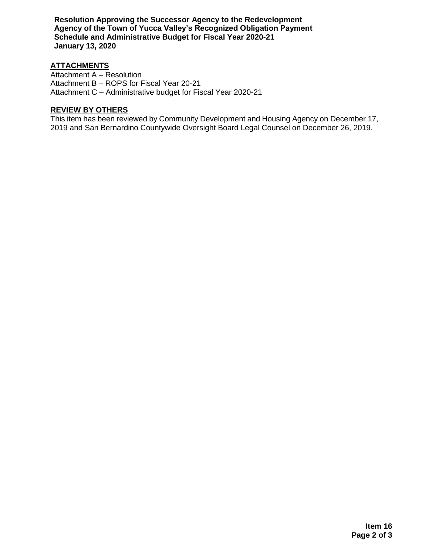**Resolution Approving the Successor Agency to the Redevelopment Agency of the Town of Yucca Valley's Recognized Obligation Payment Schedule and Administrative Budget for Fiscal Year 2020-21 January 13, 2020**

#### **ATTACHMENTS**

Attachment A – Resolution Attachment B – ROPS for Fiscal Year 20-21 Attachment C – Administrative budget for Fiscal Year 2020-21

#### **REVIEW BY OTHERS**

This item has been reviewed by Community Development and Housing Agency on December 17, 2019 and San Bernardino Countywide Oversight Board Legal Counsel on December 26, 2019.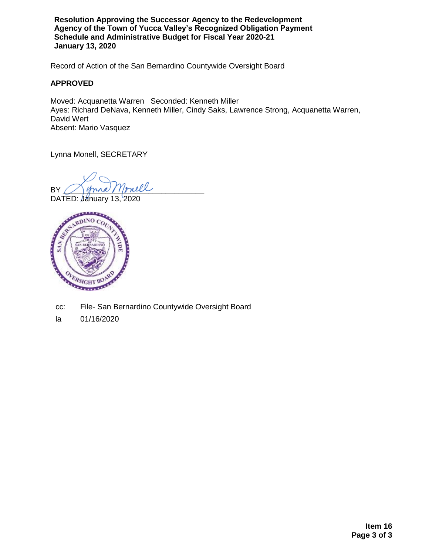**Resolution Approving the Successor Agency to the Redevelopment Agency of the Town of Yucca Valley's Recognized Obligation Payment Schedule and Administrative Budget for Fiscal Year 2020-21 January 13, 2020**

Record of Action of the San Bernardino Countywide Oversight Board

#### **APPROVED**

Moved: Acquanetta Warren Seconded: Kenneth Miller Ayes: Richard DeNava, Kenneth Miller, Cindy Saks, Lawrence Strong, Acquanetta Warren, David Wert Absent: Mario Vasquez

Lynna Monell, SECRETARY

BY Jynna Monell

DATED: January 13, 2020



- cc: File- San Bernardino Countywide Oversight Board
- la 01/16/2020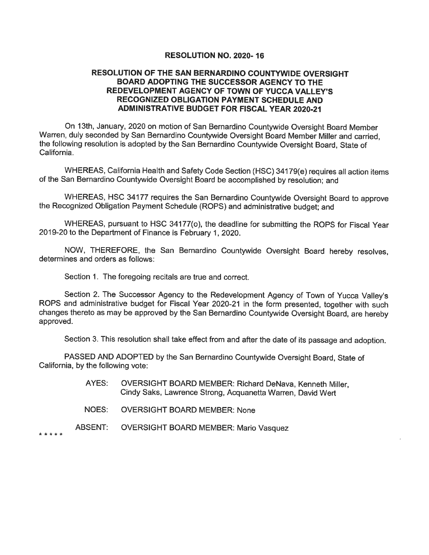#### **RESOLUTION NO. 2020-16**

#### RESOLUTION OF THE SAN BERNARDINO COUNTYWIDE OVERSIGHT BOARD ADOPTING THE SUCCESSOR AGENCY TO THE REDEVELOPMENT AGENCY OF TOWN OF YUCCA VALLEY'S **RECOGNIZED OBLIGATION PAYMENT SCHEDULE AND ADMINISTRATIVE BUDGET FOR FISCAL YEAR 2020-21**

On 13th, January, 2020 on motion of San Bernardino Countywide Oversight Board Member Warren, duly seconded by San Bernardino Countywide Oversight Board Member Miller and carried, the following resolution is adopted by the San Bernardino Countywide Oversight Board. State of California

WHEREAS, California Health and Safety Code Section (HSC) 34179(e) requires all action items of the San Bernardino Countywide Oversight Board be accomplished by resolution; and

WHEREAS, HSC 34177 requires the San Bernardino Countywide Oversight Board to approve the Recognized Obligation Payment Schedule (ROPS) and administrative budget; and

WHEREAS, pursuant to HSC 34177(o), the deadline for submitting the ROPS for Fiscal Year 2019-20 to the Department of Finance is February 1, 2020.

NOW, THEREFORE, the San Bernardino Countywide Oversight Board hereby resolves, determines and orders as follows:

Section 1. The foregoing recitals are true and correct.

Section 2. The Successor Agency to the Redevelopment Agency of Town of Yucca Valley's ROPS and administrative budget for Fiscal Year 2020-21 in the form presented, together with such changes thereto as may be approved by the San Bernardino Countywide Oversight Board, are hereby approved.

Section 3. This resolution shall take effect from and after the date of its passage and adoption.

PASSED AND ADOPTED by the San Bernardino Countywide Oversight Board, State of California, by the following vote:

- AYES: **OVERSIGHT BOARD MEMBER: Richard DeNava, Kenneth Miller,** Cindy Saks, Lawrence Strong, Acquanetta Warren, David Wert
- NOES: **OVERSIGHT BOARD MEMBER: None**
- ABSENT: **OVERSIGHT BOARD MEMBER: Mario Vasquez**

\* \* \* \* \*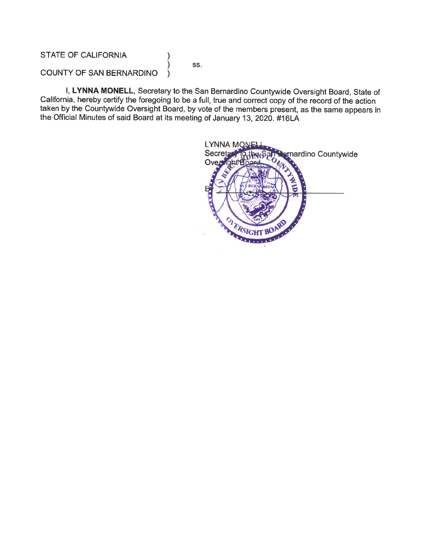#### **STATE OF CALIFORNIA**

SS.

 $\mathcal{Y}$  $\mathcal{E}$ 

#### COUNTY OF SAN BERNARDINO  $\lambda$

I, LYNNA MONELL, Secretary to the San Bernardino Countywide Oversight Board, State of California, hereby certify the foregoing to be a full, true and correct copy of the record of the action taken by the Countywide Oversight Board, by vote of the members present, as the same appears in the Official Minutes of said Board at its meeting of January 13, 2020. #16LA

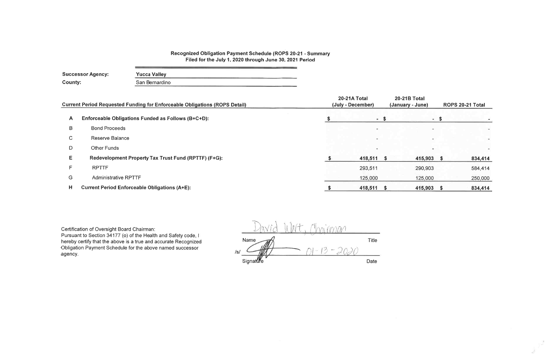#### Recognized Obligation Payment Schedule (ROPS 20-21 - Summary Filed for the July 1, 2020 through June 30, 2021 Period

| County: | <b>Successor Agency:</b><br><b>Yucca Valley</b><br>San Bernardino                 |  |                                   |                    |
|---------|-----------------------------------------------------------------------------------|--|-----------------------------------|--------------------|
|         | <b>Current Period Requested Funding for Enforceable Obligations (ROPS Detail)</b> |  | 20-21A Total<br>(July - December) | 20-21E<br>(January |
| A       | Enforceable Obligations Funded as Follows (B+C+D):                                |  |                                   | $-5$               |
| B       | <b>Bond Proceeds</b>                                                              |  |                                   |                    |
| C       | Reserve Balance                                                                   |  |                                   |                    |
| D       | <b>Other Funds</b>                                                                |  |                                   |                    |
| Е       | Redevelopment Property Tax Trust Fund (RPTTF) (F+G):                              |  | 418,511 \$                        |                    |
| F       | <b>RPTTF</b>                                                                      |  | 293,511                           |                    |
| G       | <b>Administrative RPTTF</b>                                                       |  | 125,000                           |                    |
| Н       | <b>Current Period Enforceable Obligations (A+E):</b>                              |  | 418,511                           | -S                 |

Certification of Oversight Board Chairman:<br>Pursuant to Section 34177 (o) of the Health and Safety code, I hereby certify that the above is a true and accurate Recognized Obligation Payment Schedule for the above named successor agency.

Moniconan Title Name  $01 - 13 - 2030$ Date Signature

## **B** Total

| y - June) | ROPS 20-21 Total |
|-----------|------------------|
|           | \$               |
|           |                  |
|           |                  |
|           |                  |
| 415,903   | \$<br>834,414    |
| 290,903   | 584,414          |
| 125,000   | 250,000          |
| 415,903   | \$<br>834,414    |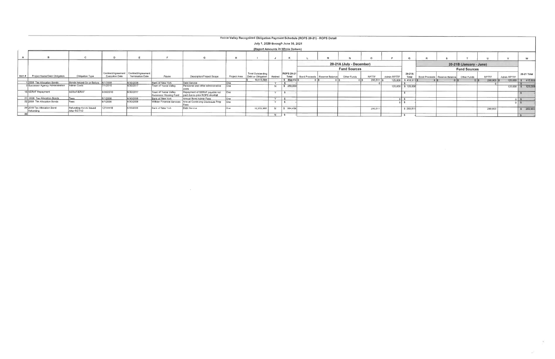|          |                                          |                                         |                       |                                                                  |                                                |                                                                    |              | Yucca Valley Recognized Obligation Payment Schedule (ROPS 20-21) - ROPS Detail |         |                                    |                                 |                          |         |             |                    |                                               |                         |            |             |                      |
|----------|------------------------------------------|-----------------------------------------|-----------------------|------------------------------------------------------------------|------------------------------------------------|--------------------------------------------------------------------|--------------|--------------------------------------------------------------------------------|---------|------------------------------------|---------------------------------|--------------------------|---------|-------------|--------------------|-----------------------------------------------|-------------------------|------------|-------------|----------------------|
|          |                                          |                                         |                       |                                                                  |                                                |                                                                    |              |                                                                                |         | July 1, 2020 through June 30, 2021 |                                 |                          |         |             |                    |                                               |                         |            |             |                      |
|          |                                          |                                         |                       |                                                                  |                                                |                                                                    |              |                                                                                |         | (Report Amounts in Whole Dollars)  |                                 |                          |         |             |                    |                                               |                         |            |             |                      |
|          |                                          |                                         |                       |                                                                  |                                                |                                                                    |              |                                                                                |         |                                    |                                 |                          |         |             |                    |                                               |                         |            |             | w                    |
|          |                                          |                                         |                       |                                                                  |                                                |                                                                    |              |                                                                                |         |                                    |                                 | 20-21A (July - December) |         |             |                    |                                               | 20-21B (January - June) |            |             |                      |
|          |                                          |                                         |                       |                                                                  |                                                |                                                                    |              |                                                                                |         |                                    |                                 | <b>Fund Sources</b>      |         |             |                    |                                               | <b>Fund Sources</b>     |            |             |                      |
| Item $#$ | Project Name/Debt Obligation             | Obligation Type                         | <b>Execution Date</b> | Contract/Agreement Contract/Agreement<br><b>Termination Date</b> | Payee                                          | Description/Project Scope                                          | Project Area | Total Outstanding<br>Debt or Obligation                                        | Retired | <b>ROPS 20-21</b><br>Total         | Bond Proceeds   Reserve Balance | Other Funds              | RPTTF   | Admin RPTTF | 20-21A<br>Total    | Bond Proceeds   Reserve Balance   Other Funds |                         | RPTTF      | Admin RPTTF | 20-21 Total          |
|          |                                          |                                         |                       |                                                                  |                                                |                                                                    |              | 10,513,565                                                                     |         | \$834,414                          |                                 |                          | 293,511 | 125,000     | $$418,511$ $$$     |                                               |                         | 290,903 \$ |             | 125,000   \$ 415,903 |
|          | 1 2008 Tax Allocation Bonds              | Bonds Issued On or Before 6/1/2008      |                       | 6/30/2038                                                        | Bank of New York                               | Debt Service                                                       | ∩ne          |                                                                                |         |                                    |                                 |                          |         |             |                    |                                               |                         |            |             |                      |
|          | 3 Successor Agency Administration        | Admin Costs                             | 7/1/2016              |                                                                  | Town of Yucca Valley                           | Personnel and other administrative                                 | <b>One</b>   |                                                                                |         | \$250,000                          |                                 |                          |         |             | 125,000 \$ 125,000 |                                               |                         |            | 125,000     | \$ 125,000           |
|          | 15 SERAF Repayment                       | SERAF/ERAF                              | 6/30/2010             | 6/30/2017                                                        | Town of Yucca Valley<br>Successor Housing Fund | Repayment of SERAF payable not<br>paid due to prior ROPS shortfall | One          |                                                                                |         |                                    |                                 |                          |         |             |                    |                                               |                         |            |             |                      |
|          | 21 2008 Tax Allocation Bonds             | Fees                                    | 6/1/2008              | 6/30/2038                                                        | Bank of New York                               | Annual Bond Admin Fees                                             | l One        |                                                                                | $\vee$  |                                    |                                 |                          |         |             |                    |                                               |                         |            |             |                      |
|          | 22 2008 Tax Allocation Bonds             | Fees                                    | 6/1/2008              | 6/30/2038                                                        | Willdan Financial Services                     | Annual Continuing Disclosure Prep                                  | One          |                                                                                |         |                                    |                                 |                          |         |             |                    |                                               |                         |            |             | 0 S                  |
|          | 29 2018 Tax Allocation Bond<br>Refunding | Refunding Bonds Issued<br>After 6/27/12 | 12/1/2018             | 6/30/2038                                                        | Bank of New York                               | Debt Service                                                       | One          | 10,513,565                                                                     |         | \$584,414                          |                                 |                          | 293,511 |             | \$293,51           |                                               |                         | 290,903    |             | \$ 290,903           |
|          |                                          |                                         |                       |                                                                  |                                                |                                                                    |              |                                                                                |         |                                    |                                 |                          |         |             |                    |                                               |                         |            |             |                      |

 $\langle \mathbf{A} \rangle$ 

 $\omega^{\pm}$  .

 $\label{eq:2.1} \mathcal{L}(\mathcal{L}(\mathcal{L})) = \mathcal{L}(\mathcal{L}(\mathcal{L})) = \mathcal{L}(\mathcal{L}(\mathcal{L})) = \mathcal{L}(\mathcal{L}(\mathcal{L}))$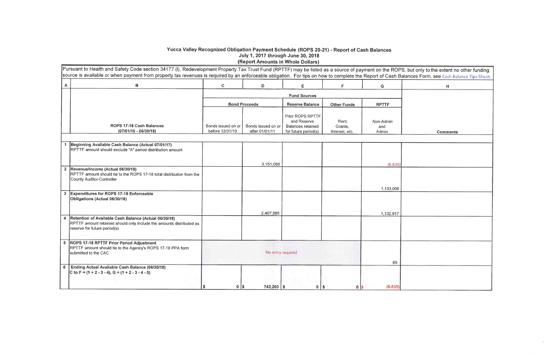# Yucca Valley Recognized Obligation Payment Schedule (ROPS 20-21) - Report of Cash Balances<br>July 1, 2017 through June 30, 2018<br>(Report Amounts in Whole Dollars)

|   | Pursuant to Health and Safety Code section 34177 (I), Redevelopment Property Tax Trust Fund (RPTTF) may be listed as a source of payment on the ROPS, b<br>source is available or when payment from property tax revenues is required by an enforceable obligation.  For tips on how to complete the Report of Cash Balar |                                       |                                      |                                                                                     |                                    |                           |  |
|---|---------------------------------------------------------------------------------------------------------------------------------------------------------------------------------------------------------------------------------------------------------------------------------------------------------------------------|---------------------------------------|--------------------------------------|-------------------------------------------------------------------------------------|------------------------------------|---------------------------|--|
| A | $\, {\bf B}$                                                                                                                                                                                                                                                                                                              | $\mathbf c$                           | D                                    | Е,                                                                                  | F                                  | G                         |  |
|   |                                                                                                                                                                                                                                                                                                                           |                                       |                                      | <b>Fund Sources</b>                                                                 |                                    |                           |  |
|   |                                                                                                                                                                                                                                                                                                                           |                                       | <b>Bond Proceeds</b>                 | <b>Reserve Balance</b>                                                              | <b>Other Funds</b>                 | <b>RPTTF</b>              |  |
|   | ROPS 17-18 Cash Balances<br>$(07/01/16 - 06/30/18)$                                                                                                                                                                                                                                                                       | Bonds issued on or<br>before 12/31/10 | Bonds issued on or<br>after 01/01/11 | Prior ROPS RPTTF<br>and Reserve<br><b>Balances retained</b><br>for future period(s) | Rent,<br>Grants,<br>Interest, etc. | Non-Admin<br>and<br>Admin |  |
|   |                                                                                                                                                                                                                                                                                                                           |                                       |                                      |                                                                                     |                                    |                           |  |
|   | 1 Beginning Available Cash Balance (Actual 07/01/17)<br>RPTTF amount should exclude "A" period distribution amount                                                                                                                                                                                                        |                                       |                                      |                                                                                     |                                    |                           |  |
|   |                                                                                                                                                                                                                                                                                                                           |                                       | 3.151.088                            |                                                                                     |                                    | (6,635)                   |  |
|   | 2 Revenue/Income (Actual 06/30/18)<br>RPTTF amount should tie to the ROPS 17-18 total distribution from the<br>County Auditor-Controller                                                                                                                                                                                  |                                       |                                      |                                                                                     |                                    |                           |  |
|   | 3 Expenditures for ROPS 17-18 Enforceable<br>Obligations (Actual 06/30/18)                                                                                                                                                                                                                                                |                                       |                                      |                                                                                     |                                    | 1,133,006                 |  |
|   |                                                                                                                                                                                                                                                                                                                           |                                       | 2,407,885                            |                                                                                     |                                    | 1,132,917                 |  |
| 4 | Retention of Available Cash Balance (Actual 06/30/18)<br>RPTTF amount retained should only include the amounts distributed as<br>reserve for future period(s)                                                                                                                                                             |                                       |                                      |                                                                                     |                                    |                           |  |
|   | 5   ROPS 17-18 RPTTF Prior Period Adjustment<br>RPTTF amount should tie to the Agency's ROPS 17-18 PPA form<br>submitted to the CAC                                                                                                                                                                                       |                                       | No entry required                    |                                                                                     |                                    | 89                        |  |
| 6 | Ending Actual Available Cash Balance (06/30/18)<br>C to F = $(1 + 2 - 3 - 4)$ , G = $(1 + 2 - 3 - 4 - 5)$                                                                                                                                                                                                                 |                                       |                                      |                                                                                     |                                    |                           |  |
|   |                                                                                                                                                                                                                                                                                                                           | S<br>$\mathbf 0$                      | $743,203$ \$<br>I\$                  | $0$   $\frac{2}{3}$                                                                 | 0 <sup>15</sup>                    | (6,635)                   |  |

| , but only to the extent no other funding |
|-------------------------------------------|
| ances Form, see Cash Balance Tips Sheet.  |
| H                                         |
|                                           |
|                                           |
|                                           |
|                                           |
|                                           |
| <b>Comments</b>                           |
|                                           |
|                                           |
|                                           |
|                                           |
|                                           |
|                                           |
|                                           |
|                                           |
|                                           |
|                                           |
|                                           |
|                                           |
|                                           |
|                                           |
|                                           |
|                                           |
|                                           |
|                                           |
|                                           |
|                                           |
|                                           |

 $\sim 10^{-1}$